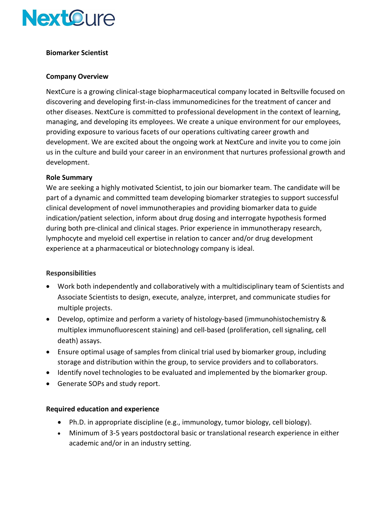

## **Biomarker Scientist**

#### **Company Overview**

NextCure is a growing clinical-stage biopharmaceutical company located in Beltsville focused on discovering and developing first-in-class immunomedicines for the treatment of cancer and other diseases. NextCure is committed to professional development in the context of learning, managing, and developing its employees. We create a unique environment for our employees, providing exposure to various facets of our operations cultivating career growth and development. We are excited about the ongoing work at NextCure and invite you to come join us in the culture and build your career in an environment that nurtures professional growth and development.

#### **Role Summary**

We are seeking a highly motivated Scientist, to join our biomarker team. The candidate will be part of a dynamic and committed team developing biomarker strategies to support successful clinical development of novel immunotherapies and providing biomarker data to guide indication/patient selection, inform about drug dosing and interrogate hypothesis formed during both pre-clinical and clinical stages. Prior experience in immunotherapy research, lymphocyte and myeloid cell expertise in relation to cancer and/or drug development experience at a pharmaceutical or biotechnology company is ideal.

## **Responsibilities**

- Work both independently and collaboratively with a multidisciplinary team of Scientists and Associate Scientists to design, execute, analyze, interpret, and communicate studies for multiple projects.
- Develop, optimize and perform a variety of histology-based (immunohistochemistry & multiplex immunofluorescent staining) and cell-based (proliferation, cell signaling, cell death) assays.
- Ensure optimal usage of samples from clinical trial used by biomarker group, including storage and distribution within the group, to service providers and to collaborators.
- Identify novel technologies to be evaluated and implemented by the biomarker group.
- Generate SOPs and study report.

## **Required education and experience**

- Ph.D. in appropriate discipline (e.g., immunology, tumor biology, cell biology).
- Minimum of 3-5 years postdoctoral basic or translational research experience in either academic and/or in an industry setting.